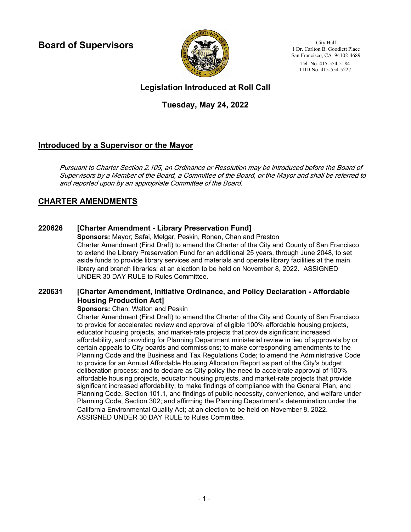**Board of Supervisors**



City Hall 1 Dr. Carlton B. Goodlett Place San Francisco, CA 94102-4689 Tel. No. 415-554-5184 TDD No. 415-554-5227

# **Legislation Introduced at Roll Call**

# **Tuesday, May 24, 2022**

# **Introduced by a Supervisor or the Mayor**

Pursuant to Charter Section 2.105, an Ordinance or Resolution may be introduced before the Board of Supervisors by a Member of the Board, a Committee of the Board, or the Mayor and shall be referred to and reported upon by an appropriate Committee of the Board.

# **CHARTER AMENDMENTS**

# **220626 [Charter Amendment - Library Preservation Fund]**

**Sponsors:** Mayor; Safai, Melgar, Peskin, Ronen, Chan and Preston Charter Amendment (First Draft) to amend the Charter of the City and County of San Francisco to extend the Library Preservation Fund for an additional 25 years, through June 2048, to set aside funds to provide library services and materials and operate library facilities at the main library and branch libraries; at an election to be held on November 8, 2022. ASSIGNED UNDER 30 DAY RULE to Rules Committee.

#### **[Charter Amendment, Initiative Ordinance, and Policy Declaration - Affordable Housing Production Act] 220631**

### **Sponsors: Chan: Walton and Peskin.**

Charter Amendment (First Draft) to amend the Charter of the City and County of San Francisco to provide for accelerated review and approval of eligible 100% affordable housing projects, educator housing projects, and market-rate projects that provide significant increased affordability, and providing for Planning Department ministerial review in lieu of approvals by or certain appeals to City boards and commissions; to make corresponding amendments to the Planning Code and the Business and Tax Regulations Code; to amend the Administrative Code to provide for an Annual Affordable Housing Allocation Report as part of the City's budget deliberation process; and to declare as City policy the need to accelerate approval of 100% affordable housing projects, educator housing projects, and market-rate projects that provide significant increased affordability; to make findings of compliance with the General Plan, and Planning Code, Section 101.1, and findings of public necessity, convenience, and welfare under Planning Code, Section 302; and affirming the Planning Department's determination under the California Environmental Quality Act; at an election to be held on November 8, 2022. ASSIGNED UNDER 30 DAY RULE to Rules Committee.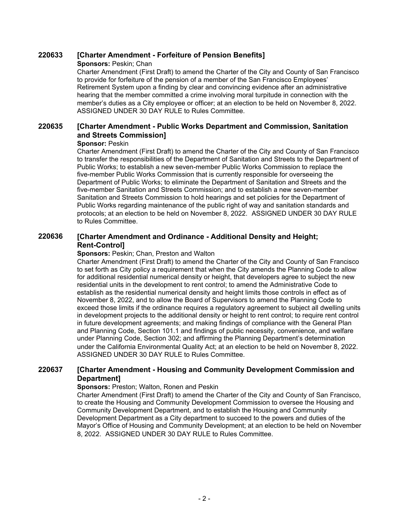## **220633 [Charter Amendment - Forfeiture of Pension Benefits]**

### **Sponsors:** Peskin; Chan

Charter Amendment (First Draft) to amend the Charter of the City and County of San Francisco to provide for forfeiture of the pension of a member of the San Francisco Employees' Retirement System upon a finding by clear and convincing evidence after an administrative hearing that the member committed a crime involving moral turpitude in connection with the member's duties as a City employee or officer; at an election to be held on November 8, 2022. ASSIGNED UNDER 30 DAY RULE to Rules Committee.

#### **[Charter Amendment - Public Works Department and Commission, Sanitation and Streets Commission] 220635**

### **Sponsor:** Peskin

Charter Amendment (First Draft) to amend the Charter of the City and County of San Francisco to transfer the responsibilities of the Department of Sanitation and Streets to the Department of Public Works; to establish a new seven-member Public Works Commission to replace the five-member Public Works Commission that is currently responsible for overseeing the Department of Public Works; to eliminate the Department of Sanitation and Streets and the five-member Sanitation and Streets Commission; and to establish a new seven-member Sanitation and Streets Commission to hold hearings and set policies for the Department of Public Works regarding maintenance of the public right of way and sanitation standards and protocols; at an election to be held on November 8, 2022. ASSIGNED UNDER 30 DAY RULE to Rules Committee.

#### **[Charter Amendment and Ordinance - Additional Density and Height; Rent-Control] 220636**

### **Sponsors:** Peskin; Chan, Preston and Walton

Charter Amendment (First Draft) to amend the Charter of the City and County of San Francisco to set forth as City policy a requirement that when the City amends the Planning Code to allow for additional residential numerical density or height, that developers agree to subject the new residential units in the development to rent control; to amend the Administrative Code to establish as the residential numerical density and height limits those controls in effect as of November 8, 2022, and to allow the Board of Supervisors to amend the Planning Code to exceed those limits if the ordinance requires a regulatory agreement to subject all dwelling units in development projects to the additional density or height to rent control; to require rent control in future development agreements; and making findings of compliance with the General Plan and Planning Code, Section 101.1 and findings of public necessity, convenience, and welfare under Planning Code, Section 302; and affirming the Planning Department's determination under the California Environmental Quality Act; at an election to be held on November 8, 2022. ASSIGNED UNDER 30 DAY RULE to Rules Committee.

#### **[Charter Amendment - Housing and Community Development Commission and Department] 220637**

### **Sponsors:** Preston; Walton, Ronen and Peskin

Charter Amendment (First Draft) to amend the Charter of the City and County of San Francisco, to create the Housing and Community Development Commission to oversee the Housing and Community Development Department, and to establish the Housing and Community Development Department as a City department to succeed to the powers and duties of the Mayor's Office of Housing and Community Development; at an election to be held on November 8, 2022. ASSIGNED UNDER 30 DAY RULE to Rules Committee.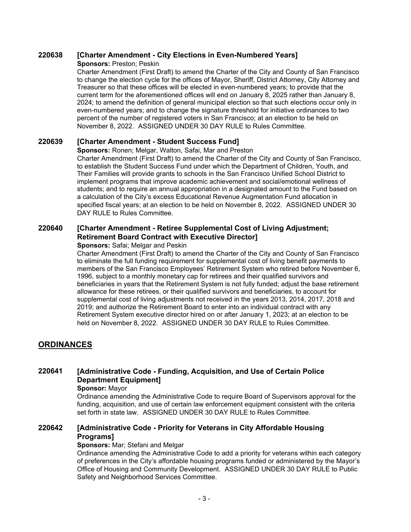## **220638 [Charter Amendment - City Elections in Even-Numbered Years]**

### **Sponsors:** Preston; Peskin

Charter Amendment (First Draft) to amend the Charter of the City and County of San Francisco to change the election cycle for the offices of Mayor, Sheriff, District Attorney, City Attorney and Treasurer so that these offices will be elected in even-numbered years; to provide that the current term for the aforementioned offices will end on January 8, 2025 rather than January 8, 2024; to amend the definition of general municipal election so that such elections occur only in even-numbered years; and to change the signature threshold for initiative ordinances to two percent of the number of registered voters in San Francisco; at an election to be held on November 8, 2022. ASSIGNED UNDER 30 DAY RULE to Rules Committee.

## **220639 [Charter Amendment - Student Success Fund]**

**Sponsors:** Ronen; Melgar, Walton, Safai, Mar and Preston

Charter Amendment (First Draft) to amend the Charter of the City and County of San Francisco, to establish the Student Success Fund under which the Department of Children, Youth, and Their Families will provide grants to schools in the San Francisco Unified School District to implement programs that improve academic achievement and social/emotional wellness of students; and to require an annual appropriation in a designated amount to the Fund based on a calculation of the City's excess Educational Revenue Augmentation Fund allocation in specified fiscal years; at an election to be held on November 8, 2022. ASSIGNED UNDER 30 DAY RULE to Rules Committee.

#### **[Charter Amendment - Retiree Supplemental Cost of Living Adjustment; Retirement Board Contract with Executive Director] 220640**

### **Sponsors: Safai: Melgar and Peskin**

Charter Amendment (First Draft) to amend the Charter of the City and County of San Francisco to eliminate the full funding requirement for supplemental cost of living benefit payments to members of the San Francisco Employees' Retirement System who retired before November 6, 1996, subject to a monthly monetary cap for retirees and their qualified survivors and beneficiaries in years that the Retirement System is not fully funded; adjust the base retirement allowance for these retirees, or their qualified survivors and beneficiaries, to account for supplemental cost of living adjustments not received in the years 2013, 2014, 2017, 2018 and 2019; and authorize the Retirement Board to enter into an individual contract with any Retirement System executive director hired on or after January 1, 2023; at an election to be held on November 8, 2022. ASSIGNED UNDER 30 DAY RULE to Rules Committee.

# **ORDINANCES**

#### **[Administrative Code - Funding, Acquisition, and Use of Certain Police Department Equipment] 220641**

### **Sponsor:** Mayor

Ordinance amending the Administrative Code to require Board of Supervisors approval for the funding, acquisition, and use of certain law enforcement equipment consistent with the criteria set forth in state law. ASSIGNED UNDER 30 DAY RULE to Rules Committee.

#### **[Administrative Code - Priority for Veterans in City Affordable Housing Programs] 220642**

### **Sponsors: Mar: Stefani and Melgar**

Ordinance amending the Administrative Code to add a priority for veterans within each category of preferences in the City's affordable housing programs funded or administered by the Mayor's Office of Housing and Community Development. ASSIGNED UNDER 30 DAY RULE to Public Safety and Neighborhood Services Committee.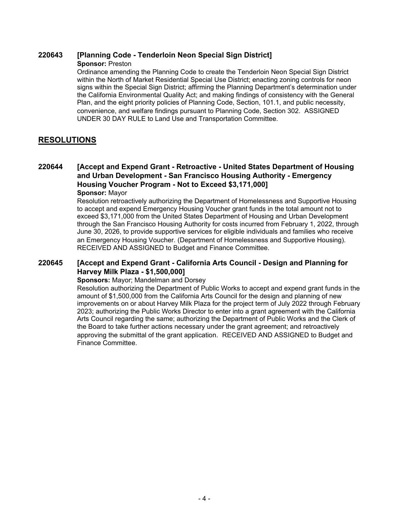### **220643 [Planning Code - Tenderloin Neon Special Sign District]**

### **Sponsor:** Preston

Ordinance amending the Planning Code to create the Tenderloin Neon Special Sign District within the North of Market Residential Special Use District; enacting zoning controls for neon signs within the Special Sign District; affirming the Planning Department's determination under the California Environmental Quality Act; and making findings of consistency with the General Plan, and the eight priority policies of Planning Code, Section, 101.1, and public necessity, convenience, and welfare findings pursuant to Planning Code, Section 302. ASSIGNED UNDER 30 DAY RULE to Land Use and Transportation Committee.

# **RESOLUTIONS**

#### **[Accept and Expend Grant - Retroactive - United States Department of Housing and Urban Development - San Francisco Housing Authority - Emergency Housing Voucher Program - Not to Exceed \$3,171,000] 220644 Sponsor:** Mayor

Resolution retroactively authorizing the Department of Homelessness and Supportive Housing to accept and expend Emergency Housing Voucher grant funds in the total amount not to exceed \$3,171,000 from the United States Department of Housing and Urban Development through the San Francisco Housing Authority for costs incurred from February 1, 2022, through June 30, 2026, to provide supportive services for eligible individuals and families who receive an Emergency Housing Voucher. (Department of Homelessness and Supportive Housing). RECEIVED AND ASSIGNED to Budget and Finance Committee.

#### **[Accept and Expend Grant - California Arts Council - Design and Planning for Harvey Milk Plaza - \$1,500,000] 220645**

### **Sponsors:** Mayor; Mandelman and Dorsey

Resolution authorizing the Department of Public Works to accept and expend grant funds in the amount of \$1,500,000 from the California Arts Council for the design and planning of new improvements on or about Harvey Milk Plaza for the project term of July 2022 through February 2023; authorizing the Public Works Director to enter into a grant agreement with the California Arts Council regarding the same; authorizing the Department of Public Works and the Clerk of the Board to take further actions necessary under the grant agreement; and retroactively approving the submittal of the grant application. RECEIVED AND ASSIGNED to Budget and Finance Committee.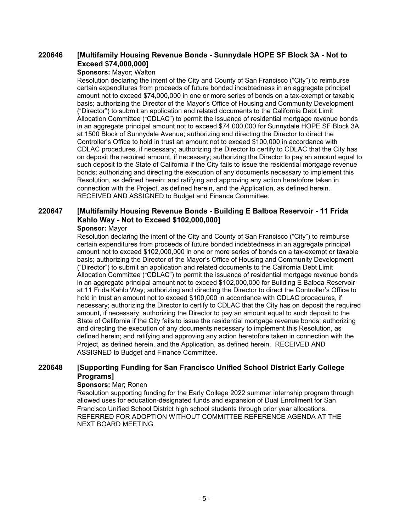#### **[Multifamily Housing Revenue Bonds - Sunnydale HOPE SF Block 3A - Not to Exceed \$74,000,000] 220646**

### **Sponsors:** Mayor; Walton

Resolution declaring the intent of the City and County of San Francisco ("City") to reimburse certain expenditures from proceeds of future bonded indebtedness in an aggregate principal amount not to exceed \$74,000,000 in one or more series of bonds on a tax-exempt or taxable basis; authorizing the Director of the Mayor's Office of Housing and Community Development ("Director") to submit an application and related documents to the California Debt Limit Allocation Committee ("CDLAC") to permit the issuance of residential mortgage revenue bonds in an aggregate principal amount not to exceed \$74,000,000 for Sunnydale HOPE SF Block 3A at 1500 Block of Sunnydale Avenue; authorizing and directing the Director to direct the Controller's Office to hold in trust an amount not to exceed \$100,000 in accordance with CDLAC procedures, if necessary; authorizing the Director to certify to CDLAC that the City has on deposit the required amount, if necessary; authorizing the Director to pay an amount equal to such deposit to the State of California if the City fails to issue the residential mortgage revenue bonds; authorizing and directing the execution of any documents necessary to implement this Resolution, as defined herein; and ratifying and approving any action heretofore taken in connection with the Project, as defined herein, and the Application, as defined herein. RECEIVED AND ASSIGNED to Budget and Finance Committee.

### **[Multifamily Housing Revenue Bonds - Building E Balboa Reservoir - 11 Frida Kahlo Way - Not to Exceed \$102,000,000] 220647**

### **Sponsor:** Mayor

Resolution declaring the intent of the City and County of San Francisco ("City") to reimburse certain expenditures from proceeds of future bonded indebtedness in an aggregate principal amount not to exceed \$102,000,000 in one or more series of bonds on a tax-exempt or taxable basis; authorizing the Director of the Mayor's Office of Housing and Community Development ("Director") to submit an application and related documents to the California Debt Limit Allocation Committee ("CDLAC") to permit the issuance of residential mortgage revenue bonds in an aggregate principal amount not to exceed \$102,000,000 for Building E Balboa Reservoir at 11 Frida Kahlo Way; authorizing and directing the Director to direct the Controller's Office to hold in trust an amount not to exceed \$100,000 in accordance with CDLAC procedures, if necessary; authorizing the Director to certify to CDLAC that the City has on deposit the required amount, if necessary; authorizing the Director to pay an amount equal to such deposit to the State of California if the City fails to issue the residential mortgage revenue bonds; authorizing and directing the execution of any documents necessary to implement this Resolution, as defined herein; and ratifying and approving any action heretofore taken in connection with the Project, as defined herein, and the Application, as defined herein. RECEIVED AND ASSIGNED to Budget and Finance Committee.

#### **[Supporting Funding for San Francisco Unified School District Early College Programs] 220648**

### **Sponsors:** Mar; Ronen

Resolution supporting funding for the Early College 2022 summer internship program through allowed uses for education-designated funds and expansion of Dual Enrollment for San Francisco Unified School District high school students through prior year allocations. REFERRED FOR ADOPTION WITHOUT COMMITTEE REFERENCE AGENDA AT THE NEXT BOARD MEETING.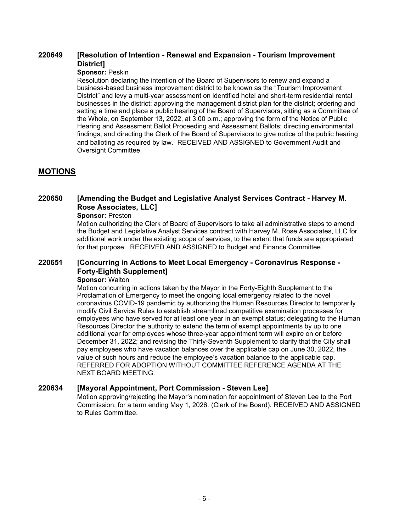#### **[Resolution of Intention - Renewal and Expansion - Tourism Improvement District] 220649**

### **Sponsor:** Peskin

Resolution declaring the intention of the Board of Supervisors to renew and expand a business-based business improvement district to be known as the "Tourism Improvement District" and levy a multi-year assessment on identified hotel and short-term residential rental businesses in the district; approving the management district plan for the district; ordering and setting a time and place a public hearing of the Board of Supervisors, sitting as a Committee of the Whole, on September 13, 2022, at 3:00 p.m.; approving the form of the Notice of Public Hearing and Assessment Ballot Proceeding and Assessment Ballots; directing environmental findings; and directing the Clerk of the Board of Supervisors to give notice of the public hearing and balloting as required by law. RECEIVED AND ASSIGNED to Government Audit and Oversight Committee.

# **MOTIONS**

#### **[Amending the Budget and Legislative Analyst Services Contract - Harvey M. Rose Associates, LLC] 220650**

### **Sponsor:** Preston

Motion authorizing the Clerk of Board of Supervisors to take all administrative steps to amend the Budget and Legislative Analyst Services contract with Harvey M. Rose Associates, LLC for additional work under the existing scope of services, to the extent that funds are appropriated for that purpose. RECEIVED AND ASSIGNED to Budget and Finance Committee.

#### **[Concurring in Actions to Meet Local Emergency - Coronavirus Response - Forty-Eighth Supplement] 220651**

### **Sponsor:** Walton

Motion concurring in actions taken by the Mayor in the Forty-Eighth Supplement to the Proclamation of Emergency to meet the ongoing local emergency related to the novel coronavirus COVID-19 pandemic by authorizing the Human Resources Director to temporarily modify Civil Service Rules to establish streamlined competitive examination processes for employees who have served for at least one year in an exempt status; delegating to the Human Resources Director the authority to extend the term of exempt appointments by up to one additional year for employees whose three-year appointment term will expire on or before December 31, 2022; and revising the Thirty-Seventh Supplement to clarify that the City shall pay employees who have vacation balances over the applicable cap on June 30, 2022, the value of such hours and reduce the employee's vacation balance to the applicable cap. REFERRED FOR ADOPTION WITHOUT COMMITTEE REFERENCE AGENDA AT THE NEXT BOARD MEETING.

# **220634 [Mayoral Appointment, Port Commission - Steven Lee]**

Motion approving/rejecting the Mayor's nomination for appointment of Steven Lee to the Port Commission, for a term ending May 1, 2026. (Clerk of the Board). RECEIVED AND ASSIGNED to Rules Committee.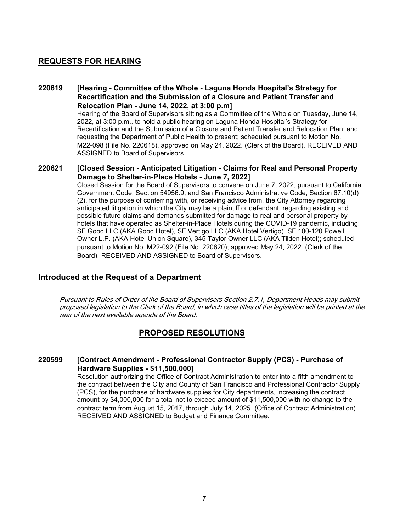# **REQUESTS FOR HEARING**

#### **[Hearing - Committee of the Whole - Laguna Honda Hospital's Strategy for Recertification and the Submission of a Closure and Patient Transfer and Relocation Plan - June 14, 2022, at 3:00 p.m] 220619**

Hearing of the Board of Supervisors sitting as a Committee of the Whole on Tuesday, June 14, 2022, at 3:00 p.m., to hold a public hearing on Laguna Honda Hospital's Strategy for Recertification and the Submission of a Closure and Patient Transfer and Relocation Plan; and requesting the Department of Public Health to present; scheduled pursuant to Motion No. M22-098 (File No. 220618), approved on May 24, 2022. (Clerk of the Board). RECEIVED AND ASSIGNED to Board of Supervisors.

#### **[Closed Session - Anticipated Litigation - Claims for Real and Personal Property Damage to Shelter-in-Place Hotels - June 7, 2022] 220621**

Closed Session for the Board of Supervisors to convene on June 7, 2022, pursuant to California Government Code, Section 54956.9, and San Francisco Administrative Code, Section 67.10(d) (2), for the purpose of conferring with, or receiving advice from, the City Attorney regarding anticipated litigation in which the City may be a plaintiff or defendant, regarding existing and possible future claims and demands submitted for damage to real and personal property by hotels that have operated as Shelter-in-Place Hotels during the COVID-19 pandemic, including: SF Good LLC (AKA Good Hotel), SF Vertigo LLC (AKA Hotel Vertigo), SF 100-120 Powell Owner L.P. (AKA Hotel Union Square), 345 Taylor Owner LLC (AKA Tilden Hotel); scheduled pursuant to Motion No. M22-092 (File No. 220620); approved May 24, 2022. (Clerk of the Board). RECEIVED AND ASSIGNED to Board of Supervisors.

# **Introduced at the Request of a Department**

Pursuant to Rules of Order of the Board of Supervisors Section 2.7.1, Department Heads may submit proposed legislation to the Clerk of the Board, in which case titles of the legislation will be printed at the rear of the next available agenda of the Board.

# **PROPOSED RESOLUTIONS**

#### **[Contract Amendment - Professional Contractor Supply (PCS) - Purchase of Hardware Supplies - \$11,500,000] 220599**

Resolution authorizing the Office of Contract Administration to enter into a fifth amendment to the contract between the City and County of San Francisco and Professional Contractor Supply (PCS), for the purchase of hardware supplies for City departments, increasing the contract amount by \$4,000,000 for a total not to exceed amount of \$11,500,000 with no change to the contract term from August 15, 2017, through July 14, 2025. (Office of Contract Administration). RECEIVED AND ASSIGNED to Budget and Finance Committee.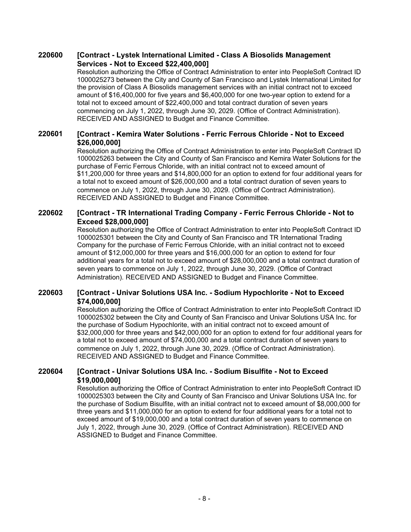#### **[Contract - Lystek International Limited - Class A Biosolids Management Services - Not to Exceed \$22,400,000] 220600**

Resolution authorizing the Office of Contract Administration to enter into PeopleSoft Contract ID 1000025273 between the City and County of San Francisco and Lystek International Limited for the provision of Class A Biosolids management services with an initial contract not to exceed amount of \$16,400,000 for five years and \$6,400,000 for one two-year option to extend for a total not to exceed amount of \$22,400,000 and total contract duration of seven years commencing on July 1, 2022, through June 30, 2029. (Office of Contract Administration). RECEIVED AND ASSIGNED to Budget and Finance Committee.

#### **[Contract - Kemira Water Solutions - Ferric Ferrous Chloride - Not to Exceed \$26,000,000] 220601**

Resolution authorizing the Office of Contract Administration to enter into PeopleSoft Contract ID 1000025263 between the City and County of San Francisco and Kemira Water Solutions for the purchase of Ferric Ferrous Chloride, with an initial contract not to exceed amount of \$11,200,000 for three years and \$14,800,000 for an option to extend for four additional years for a total not to exceed amount of \$26,000,000 and a total contract duration of seven years to commence on July 1, 2022, through June 30, 2029. (Office of Contract Administration). RECEIVED AND ASSIGNED to Budget and Finance Committee.

#### **[Contract - TR International Trading Company - Ferric Ferrous Chloride - Not to Exceed \$28,000,000] 220602**

Resolution authorizing the Office of Contract Administration to enter into PeopleSoft Contract ID 1000025301 between the City and County of San Francisco and TR International Trading Company for the purchase of Ferric Ferrous Chloride, with an initial contract not to exceed amount of \$12,000,000 for three years and \$16,000,000 for an option to extend for four additional years for a total not to exceed amount of \$28,000,000 and a total contract duration of seven years to commence on July 1, 2022, through June 30, 2029. (Office of Contract Administration). RECEIVED AND ASSIGNED to Budget and Finance Committee.

#### **[Contract - Univar Solutions USA Inc. - Sodium Hypochlorite - Not to Exceed \$74,000,000] 220603**

Resolution authorizing the Office of Contract Administration to enter into PeopleSoft Contract ID 1000025302 between the City and County of San Francisco and Univar Solutions USA Inc. for the purchase of Sodium Hypochlorite, with an initial contract not to exceed amount of \$32,000,000 for three years and \$42,000,000 for an option to extend for four additional years for a total not to exceed amount of \$74,000,000 and a total contract duration of seven years to commence on July 1, 2022, through June 30, 2029. (Office of Contract Administration). RECEIVED AND ASSIGNED to Budget and Finance Committee.

#### **[Contract - Univar Solutions USA Inc. - Sodium Bisulfite - Not to Exceed \$19,000,000] 220604**

Resolution authorizing the Office of Contract Administration to enter into PeopleSoft Contract ID 1000025303 between the City and County of San Francisco and Univar Solutions USA Inc. for the purchase of Sodium Bisulfite, with an initial contract not to exceed amount of \$8,000,000 for three years and \$11,000,000 for an option to extend for four additional years for a total not to exceed amount of \$19,000,000 and a total contract duration of seven years to commence on July 1, 2022, through June 30, 2029. (Office of Contract Administration). RECEIVED AND ASSIGNED to Budget and Finance Committee.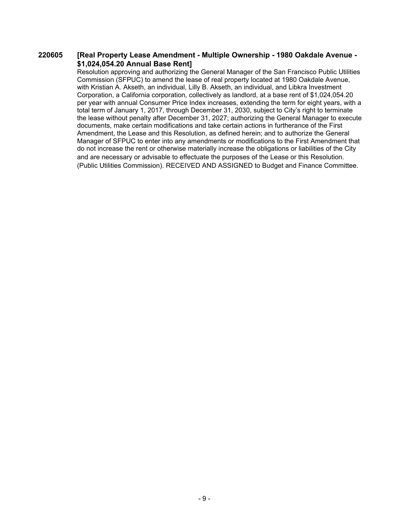#### **[Real Property Lease Amendment - Multiple Ownership - 1980 Oakdale Avenue - \$1,024,054.20 Annual Base Rent] 220605**

Resolution approving and authorizing the General Manager of the San Francisco Public Utilities Commission (SFPUC) to amend the lease of real property located at 1980 Oakdale Avenue, with Kristian A. Akseth, an individual, Lilly B. Akseth, an individual, and Libkra Investment Corporation, a California corporation, collectively as landlord, at a base rent of \$1,024,054.20 per year with annual Consumer Price Index increases, extending the term for eight years, with a total term of January 1, 2017, through December 31, 2030, subject to City's right to terminate the lease without penalty after December 31, 2027; authorizing the General Manager to execute documents, make certain modifications and take certain actions in furtherance of the First Amendment, the Lease and this Resolution, as defined herein; and to authorize the General Manager of SFPUC to enter into any amendments or modifications to the First Amendment that do not increase the rent or otherwise materially increase the obligations or liabilities of the City and are necessary or advisable to effectuate the purposes of the Lease or this Resolution. (Public Utilities Commission). RECEIVED AND ASSIGNED to Budget and Finance Committee.